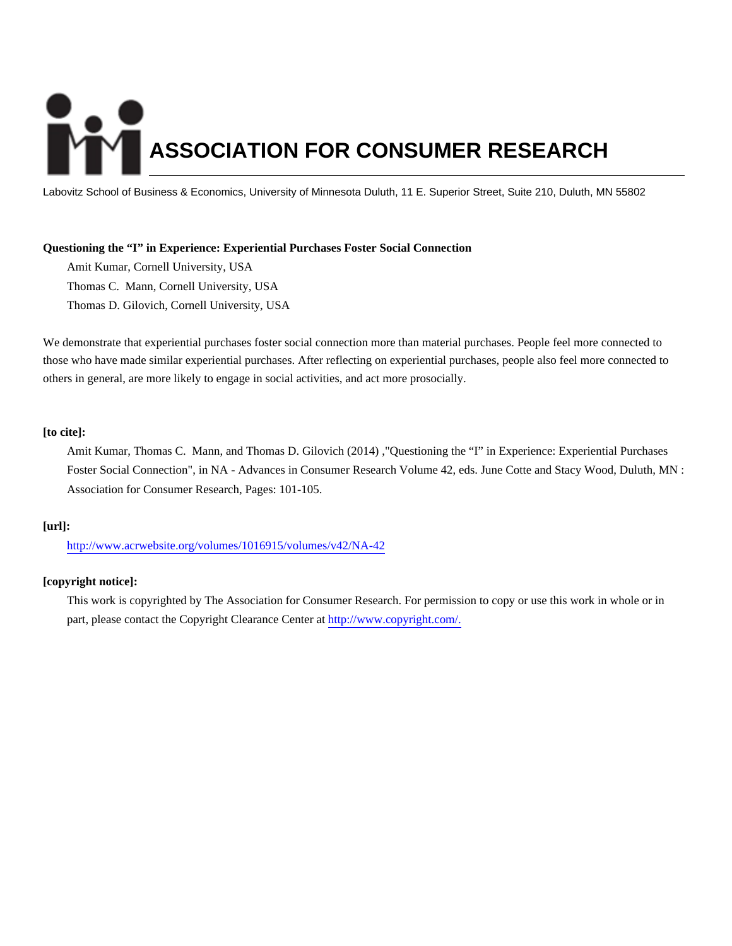# **ASSOCIATION FOR CONSUMER RESEARCH**

Labovitz School of Business & Economics, University of Minnesota Duluth, 11 E. Superior Street, Suite 210, Duluth, MN 55802

#### **Questioning the "I" in Experience: Experiential Purchases Foster Social Connection**

Amit Kumar, Cornell University, USA Thomas C. Mann, Cornell University, USA Thomas D. Gilovich, Cornell University, USA

We demonstrate that experiential purchases foster social connection more than material purchases. People feel more connected to those who have made similar experiential purchases. After reflecting on experiential purchases, people also feel more connected to others in general, are more likely to engage in social activities, and act more prosocially.

# **[to cite]:**

Amit Kumar, Thomas C. Mann, and Thomas D. Gilovich (2014) ,"Questioning the "I" in Experience: Experiential Purchases Foster Social Connection", in NA - Advances in Consumer Research Volume 42, eds. June Cotte and Stacy Wood, Duluth, MN : Association for Consumer Research, Pages: 101-105.

#### **[url]:**

<http://www.acrwebsite.org/volumes/1016915/volumes/v42/NA-42>

#### **[copyright notice]:**

This work is copyrighted by The Association for Consumer Research. For permission to copy or use this work in whole or in part, please contact the Copyright Clearance Center at [http://www.copyright.com/.](http://www.copyright.com/)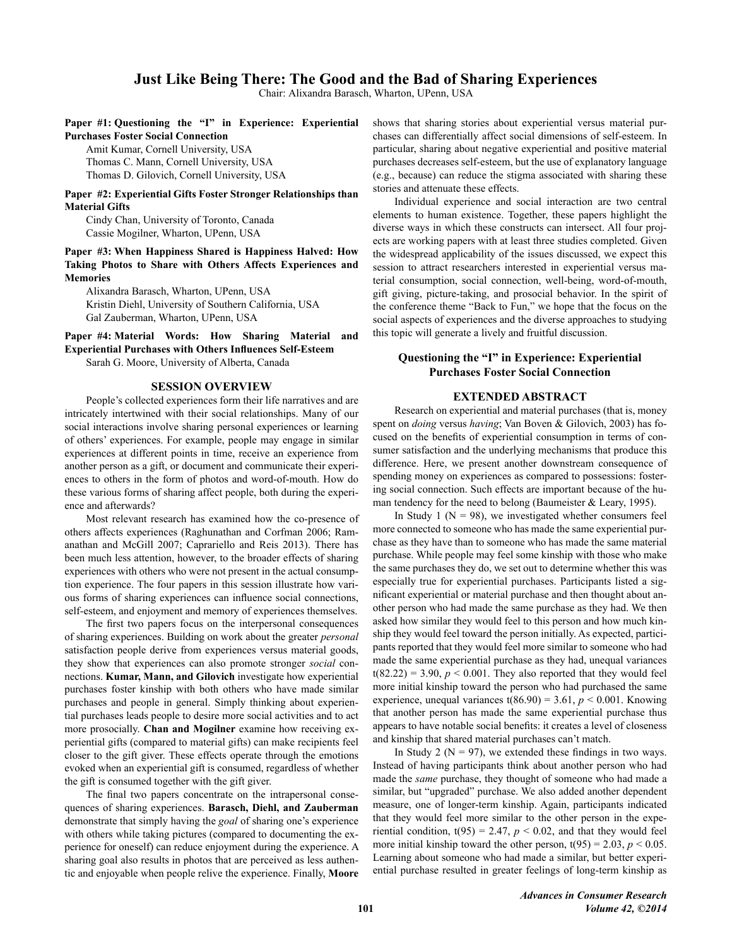# Just Like Being There: The Good and the Bad of Sharing Experiences

Chair: Alixandra Barasch, Wharton, UPenn, USA

#### Paper #1: Questioning the "I" in Experience: Experiential **Purchases Foster Social Connection**

Amit Kumar, Cornell University, USA

Thomas C. Mann, Cornell University, USA Thomas D. Gilovich, Cornell University, USA

## Paper #2: Experiential Gifts Foster Stronger Relationships than **Material Gifts**

Cindy Chan, University of Toronto, Canada Cassie Mogilner, Wharton, UPenn, USA

Paper #3: When Happiness Shared is Happiness Halved: How Taking Photos to Share with Others Affects Experiences and **Memories** 

Alixandra Barasch, Wharton, UPenn, USA Kristin Diehl, University of Southern California, USA Gal Zauberman, Wharton, UPenn, USA

Paper #4: Material Words: How Sharing Material and **Experiential Purchases with Others Influences Self-Esteem** 

Sarah G. Moore, University of Alberta, Canada

#### **SESSION OVERVIEW**

People's collected experiences form their life narratives and are intricately intertwined with their social relationships. Many of our social interactions involve sharing personal experiences or learning of others' experiences. For example, people may engage in similar experiences at different points in time, receive an experience from another person as a gift, or document and communicate their experiences to others in the form of photos and word-of-mouth. How do these various forms of sharing affect people, both during the experience and afterwards?

Most relevant research has examined how the co-presence of others affects experiences (Raghunathan and Corfman 2006; Ramanathan and McGill 2007; Caprariello and Reis 2013). There has been much less attention, however, to the broader effects of sharing experiences with others who were not present in the actual consumption experience. The four papers in this session illustrate how various forms of sharing experiences can influence social connections, self-esteem, and enjoyment and memory of experiences themselves.

The first two papers focus on the interpersonal consequences of sharing experiences. Building on work about the greater *personal* satisfaction people derive from experiences versus material goods, they show that experiences can also promote stronger social connections. Kumar, Mann, and Gilovich investigate how experiential purchases foster kinship with both others who have made similar purchases and people in general. Simply thinking about experiential purchases leads people to desire more social activities and to act more prosocially. Chan and Mogilner examine how receiving experiential gifts (compared to material gifts) can make recipients feel closer to the gift giver. These effects operate through the emotions evoked when an experiential gift is consumed, regardless of whether the gift is consumed together with the gift giver.

The final two papers concentrate on the intrapersonal consequences of sharing experiences. Barasch, Diehl, and Zauberman demonstrate that simply having the goal of sharing one's experience with others while taking pictures (compared to documenting the experience for oneself) can reduce enjoyment during the experience. A sharing goal also results in photos that are perceived as less authentic and enjoyable when people relive the experience. Finally, Moore shows that sharing stories about experiential versus material purchases can differentially affect social dimensions of self-esteem. In particular, sharing about negative experiential and positive material purchases decreases self-esteem, but the use of explanatory language (e.g., because) can reduce the stigma associated with sharing these stories and attenuate these effects.

Individual experience and social interaction are two central elements to human existence. Together, these papers highlight the diverse ways in which these constructs can intersect. All four projects are working papers with at least three studies completed. Given the widespread applicability of the issues discussed, we expect this session to attract researchers interested in experiential versus material consumption, social connection, well-being, word-of-mouth, gift giving, picture-taking, and prosocial behavior. In the spirit of the conference theme "Back to Fun," we hope that the focus on the social aspects of experiences and the diverse approaches to studying this topic will generate a lively and fruitful discussion.

## Questioning the "I" in Experience: Experiential **Purchases Foster Social Connection**

#### **EXTENDED ABSTRACT**

Research on experiential and material purchases (that is, money spent on *doing* versus *having*; Van Boven & Gilovich, 2003) has focused on the benefits of experiential consumption in terms of consumer satisfaction and the underlying mechanisms that produce this difference. Here, we present another downstream consequence of spending money on experiences as compared to possessions: fostering social connection. Such effects are important because of the human tendency for the need to belong (Baumeister & Leary, 1995).

In Study 1 ( $N = 98$ ), we investigated whether consumers feel more connected to someone who has made the same experiential purchase as they have than to someone who has made the same material purchase. While people may feel some kinship with those who make the same purchases they do, we set out to determine whether this was especially true for experiential purchases. Participants listed a significant experiential or material purchase and then thought about another person who had made the same purchase as they had. We then asked how similar they would feel to this person and how much kinship they would feel toward the person initially. As expected, participants reported that they would feel more similar to someone who had made the same experiential purchase as they had, unequal variances  $t(82.22) = 3.90$ ,  $p < 0.001$ . They also reported that they would feel more initial kinship toward the person who had purchased the same experience, unequal variances  $t(86.90) = 3.61$ ,  $p < 0.001$ . Knowing that another person has made the same experiential purchase thus appears to have notable social benefits: it creates a level of closeness and kinship that shared material purchases can't match.

In Study 2 ( $N = 97$ ), we extended these findings in two ways. Instead of having participants think about another person who had made the *same* purchase, they thought of someone who had made a similar, but "upgraded" purchase. We also added another dependent measure, one of longer-term kinship. Again, participants indicated that they would feel more similar to the other person in the experiential condition,  $t(95) = 2.47$ ,  $p < 0.02$ , and that they would feel more initial kinship toward the other person,  $t(95) = 2.03$ ,  $p < 0.05$ . Learning about someone who had made a similar, but better experiential purchase resulted in greater feelings of long-term kinship as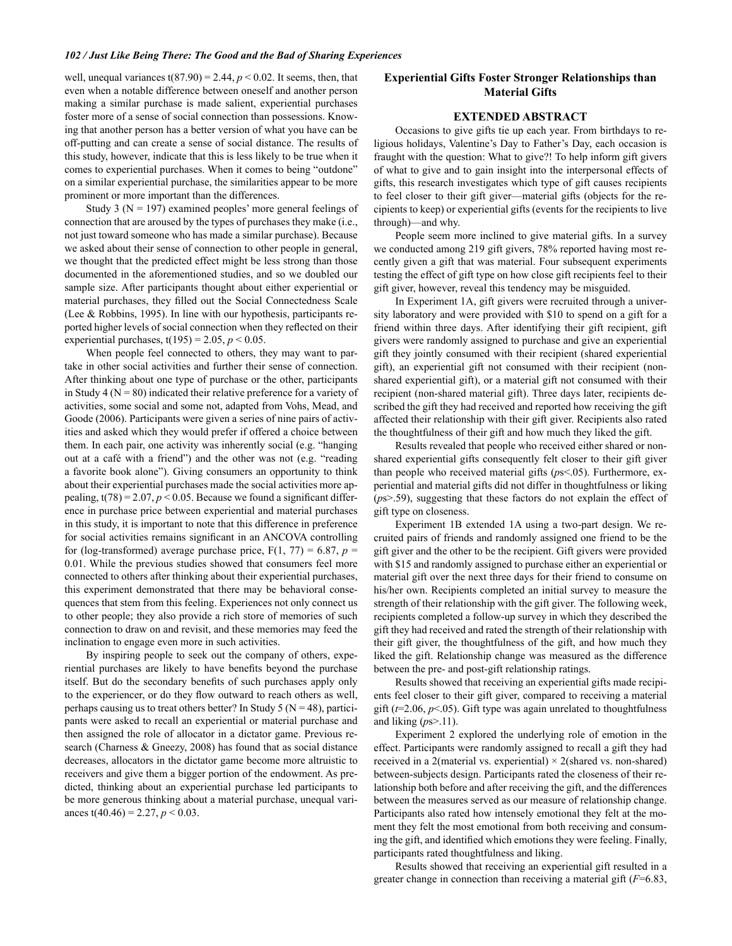well, unequal variances  $t(87.90) = 2.44$ ,  $p < 0.02$ . It seems, then, that even when a notable difference between oneself and another person making a similar purchase is made salient, experiential purchases foster more of a sense of social connection than possessions. Knowing that another person has a better version of what you have can be off-putting and can create a sense of social distance. The results of this study, however, indicate that this is less likely to be true when it comes to experiential purchases. When it comes to being "outdone" on a similar experiential purchase, the similarities appear to be more prominent or more important than the differences.

Study 3 ( $N = 197$ ) examined peoples' more general feelings of connection that are aroused by the types of purchases they make (i.e., not just toward someone who has made a similar purchase). Because we asked about their sense of connection to other people in general, we thought that the predicted effect might be less strong than those documented in the aforementioned studies, and so we doubled our sample size. After participants thought about either experiential or material purchases, they filled out the Social Connectedness Scale (Lee & Robbins, 1995). In line with our hypothesis, participants reported higher levels of social connection when they reflected on their experiential purchases,  $t(195) = 2.05$ ,  $p < 0.05$ .

When people feel connected to others, they may want to partake in other social activities and further their sense of connection. After thinking about one type of purchase or the other, participants in Study 4 ( $N = 80$ ) indicated their relative preference for a variety of activities, some social and some not, adapted from Vohs, Mead, and Goode (2006). Participants were given a series of nine pairs of activities and asked which they would prefer if offered a choice between them. In each pair, one activity was inherently social (e.g. "hanging out at a café with a friend") and the other was not (e.g. "reading a favorite book alone"). Giving consumers an opportunity to think about their experiential purchases made the social activities more appealing,  $t(78) = 2.07$ ,  $p < 0.05$ . Because we found a significant difference in purchase price between experiential and material purchases in this study, it is important to note that this difference in preference for social activities remains significant in an ANCOVA controlling for (log-transformed) average purchase price,  $F(1, 77) = 6.87$ ,  $p =$ 0.01. While the previous studies showed that consumers feel more connected to others after thinking about their experiential purchases, this experiment demonstrated that there may be behavioral consequences that stem from this feeling. Experiences not only connect us to other people; they also provide a rich store of memories of such connection to draw on and revisit, and these memories may feed the inclination to engage even more in such activities.

By inspiring people to seek out the company of others, experiential purchases are likely to have benefits beyond the purchase itself. But do the secondary benefits of such purchases apply only to the experiencer, or do they flow outward to reach others as well, perhaps causing us to treat others better? In Study 5 ( $N = 48$ ), participants were asked to recall an experiential or material purchase and then assigned the role of allocator in a dictator game. Previous research (Charness & Gneezy, 2008) has found that as social distance decreases, allocators in the dictator game become more altruistic to receivers and give them a bigger portion of the endowment. As predicted, thinking about an experiential purchase led participants to be more generous thinking about a material purchase, unequal variances t(40.46) = 2.27,  $p < 0.03$ .

#### **Experiential Gifts Foster Stronger Relationships than Material Gifts**

## **EXTENDED ABSTRACT**

Occasions to give gifts tie up each year. From birthdays to religious holidays, Valentine's Day to Father's Day, each occasion is fraught with the question: What to give?! To help inform gift givers of what to give and to gain insight into the interpersonal effects of gifts, this research investigates which type of gift causes recipients to feel closer to their gift giver-material gifts (objects for the recipients to keep) or experiential gifts (events for the recipients to live through)—and why.

People seem more inclined to give material gifts. In a survey we conducted among 219 gift givers, 78% reported having most recently given a gift that was material. Four subsequent experiments testing the effect of gift type on how close gift recipients feel to their gift giver, however, reveal this tendency may be misguided.

In Experiment 1A, gift givers were recruited through a university laboratory and were provided with \$10 to spend on a gift for a friend within three days. After identifying their gift recipient, gift givers were randomly assigned to purchase and give an experiential gift they jointly consumed with their recipient (shared experiential gift), an experiential gift not consumed with their recipient (nonshared experiential gift), or a material gift not consumed with their recipient (non-shared material gift). Three days later, recipients described the gift they had received and reported how receiving the gift affected their relationship with their gift giver. Recipients also rated the thoughtfulness of their gift and how much they liked the gift.

Results revealed that people who received either shared or nonshared experiential gifts consequently felt closer to their gift giver than people who received material gifts  $(ps<0.05)$ . Furthermore, experiential and material gifts did not differ in thoughtfulness or liking  $(ps\geq59)$ , suggesting that these factors do not explain the effect of gift type on closeness.

Experiment 1B extended 1A using a two-part design. We recruited pairs of friends and randomly assigned one friend to be the gift giver and the other to be the recipient. Gift givers were provided with \$15 and randomly assigned to purchase either an experiential or material gift over the next three days for their friend to consume on his/her own. Recipients completed an initial survey to measure the strength of their relationship with the gift giver. The following week, recipients completed a follow-up survey in which they described the gift they had received and rated the strength of their relationship with their gift giver, the thoughtfulness of the gift, and how much they liked the gift. Relationship change was measured as the difference between the pre- and post-gift relationship ratings.

Results showed that receiving an experiential gifts made recipients feel closer to their gift giver, compared to receiving a material gift ( $t=2.06$ ,  $p<.05$ ). Gift type was again unrelated to thoughtfulness and liking  $(ps>0.11)$ .

Experiment 2 explored the underlying role of emotion in the effect. Participants were randomly assigned to recall a gift they had received in a 2(material vs. experiential)  $\times$  2(shared vs. non-shared) between-subjects design. Participants rated the closeness of their relationship both before and after receiving the gift, and the differences between the measures served as our measure of relationship change. Participants also rated how intensely emotional they felt at the moment they felt the most emotional from both receiving and consuming the gift, and identified which emotions they were feeling. Finally, participants rated thoughtfulness and liking.

Results showed that receiving an experiential gift resulted in a greater change in connection than receiving a material gift  $(F=6.83)$ ,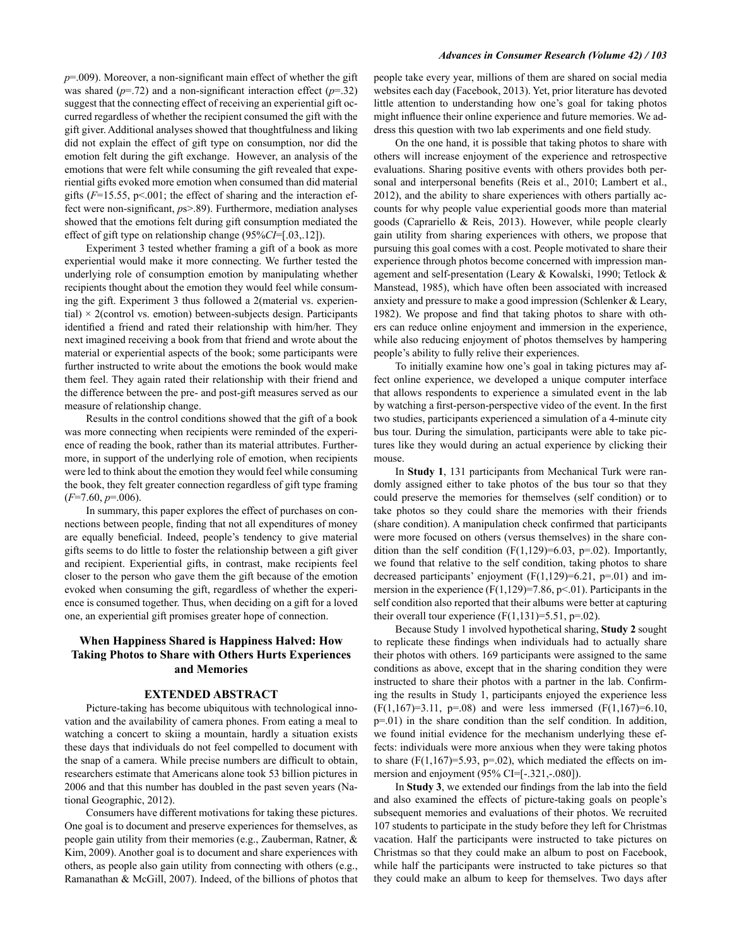$p=0.009$ ). Moreover, a non-significant main effect of whether the gift was shared ( $p=72$ ) and a non-significant interaction effect ( $p=.32$ ) suggest that the connecting effect of receiving an experiential gift occurred regardless of whether the recipient consumed the gift with the gift giver. Additional analyses showed that thoughtfulness and liking did not explain the effect of gift type on consumption, nor did the emotion felt during the gift exchange. However, an analysis of the emotions that were felt while consuming the gift revealed that experiential gifts evoked more emotion when consumed than did material gifts ( $F=15.55$ ,  $p<0.001$ ; the effect of sharing and the interaction effect were non-significant, ps>.89). Furthermore, mediation analyses showed that the emotions felt during gift consumption mediated the effect of gift type on relationship change  $(95\%CI=[.03, .12])$ .

Experiment 3 tested whether framing a gift of a book as more experiential would make it more connecting. We further tested the underlying role of consumption emotion by manipulating whether recipients thought about the emotion they would feel while consuming the gift. Experiment 3 thus followed a 2(material vs. experiential)  $\times$  2(control vs. emotion) between-subjects design. Participants identified a friend and rated their relationship with him/her. They next imagined receiving a book from that friend and wrote about the material or experiential aspects of the book; some participants were further instructed to write about the emotions the book would make them feel. They again rated their relationship with their friend and the difference between the pre- and post-gift measures served as our measure of relationship change.

Results in the control conditions showed that the gift of a book was more connecting when recipients were reminded of the experience of reading the book, rather than its material attributes. Furthermore, in support of the underlying role of emotion, when recipients were led to think about the emotion they would feel while consuming the book, they felt greater connection regardless of gift type framing  $(F=7.60, p=.006)$ .

In summary, this paper explores the effect of purchases on connections between people, finding that not all expenditures of money are equally beneficial. Indeed, people's tendency to give material gifts seems to do little to foster the relationship between a gift giver and recipient. Experiential gifts, in contrast, make recipients feel closer to the person who gave them the gift because of the emotion evoked when consuming the gift, regardless of whether the experience is consumed together. Thus, when deciding on a gift for a loved one, an experiential gift promises greater hope of connection.

## When Happiness Shared is Happiness Halved: How **Taking Photos to Share with Others Hurts Experiences** and Memories

#### **EXTENDED ABSTRACT**

Picture-taking has become ubiquitous with technological innovation and the availability of camera phones. From eating a meal to watching a concert to skiing a mountain, hardly a situation exists these days that individuals do not feel compelled to document with the snap of a camera. While precise numbers are difficult to obtain, researchers estimate that Americans alone took 53 billion pictures in 2006 and that this number has doubled in the past seven years (National Geographic, 2012).

Consumers have different motivations for taking these pictures. One goal is to document and preserve experiences for themselves, as people gain utility from their memories (e.g., Zauberman, Ratner, & Kim, 2009). Another goal is to document and share experiences with others, as people also gain utility from connecting with others (e.g., Ramanathan & McGill, 2007). Indeed, of the billions of photos that

#### **Advances in Consumer Research (Volume 42) / 103**

people take every year, millions of them are shared on social media websites each day (Facebook, 2013). Yet, prior literature has devoted little attention to understanding how one's goal for taking photos might influence their online experience and future memories. We address this question with two lab experiments and one field study.

On the one hand, it is possible that taking photos to share with others will increase enjoyment of the experience and retrospective evaluations. Sharing positive events with others provides both personal and interpersonal benefits (Reis et al., 2010; Lambert et al., 2012), and the ability to share experiences with others partially accounts for why people value experiential goods more than material goods (Caprariello & Reis, 2013). However, while people clearly gain utility from sharing experiences with others, we propose that pursuing this goal comes with a cost. People motivated to share their experience through photos become concerned with impression management and self-presentation (Leary & Kowalski, 1990; Tetlock & Manstead, 1985), which have often been associated with increased anxiety and pressure to make a good impression (Schlenker & Leary, 1982). We propose and find that taking photos to share with others can reduce online enjoyment and immersion in the experience, while also reducing enjoyment of photos themselves by hampering people's ability to fully relive their experiences.

To initially examine how one's goal in taking pictures may affect online experience, we developed a unique computer interface that allows respondents to experience a simulated event in the lab by watching a first-person-perspective video of the event. In the first two studies, participants experienced a simulation of a 4-minute city bus tour. During the simulation, participants were able to take pictures like they would during an actual experience by clicking their mouse

In Study 1, 131 participants from Mechanical Turk were randomly assigned either to take photos of the bus tour so that they could preserve the memories for themselves (self condition) or to take photos so they could share the memories with their friends (share condition). A manipulation check confirmed that participants were more focused on others (versus themselves) in the share condition than the self condition ( $F(1,129)=6.03$ ,  $p=.02$ ). Importantly, we found that relative to the self condition, taking photos to share decreased participants' enjoyment ( $F(1,129)=6.21$ ,  $p=.01$ ) and immersion in the experience  $(F(1, 129)=7.86, p<.01)$ . Participants in the self condition also reported that their albums were better at capturing their overall tour experience  $(F(1, 131)=5.51, p=.02)$ .

Because Study 1 involved hypothetical sharing, Study 2 sought to replicate these findings when individuals had to actually share their photos with others. 169 participants were assigned to the same conditions as above, except that in the sharing condition they were instructed to share their photos with a partner in the lab. Confirming the results in Study 1, participants enjoyed the experience less  $(F(1,167)=3.11, p=.08)$  and were less immersed  $(F(1,167)=6.10, p=.08)$  $p=01$ ) in the share condition than the self condition. In addition, we found initial evidence for the mechanism underlying these effects: individuals were more anxious when they were taking photos to share  $(F(1,167)=5.93, p=.02)$ , which mediated the effects on immersion and enjoyment (95% CI=[-.321,-.080]).

In Study 3, we extended our findings from the lab into the field and also examined the effects of picture-taking goals on people's subsequent memories and evaluations of their photos. We recruited 107 students to participate in the study before they left for Christmas vacation. Half the participants were instructed to take pictures on Christmas so that they could make an album to post on Facebook, while half the participants were instructed to take pictures so that they could make an album to keep for themselves. Two days after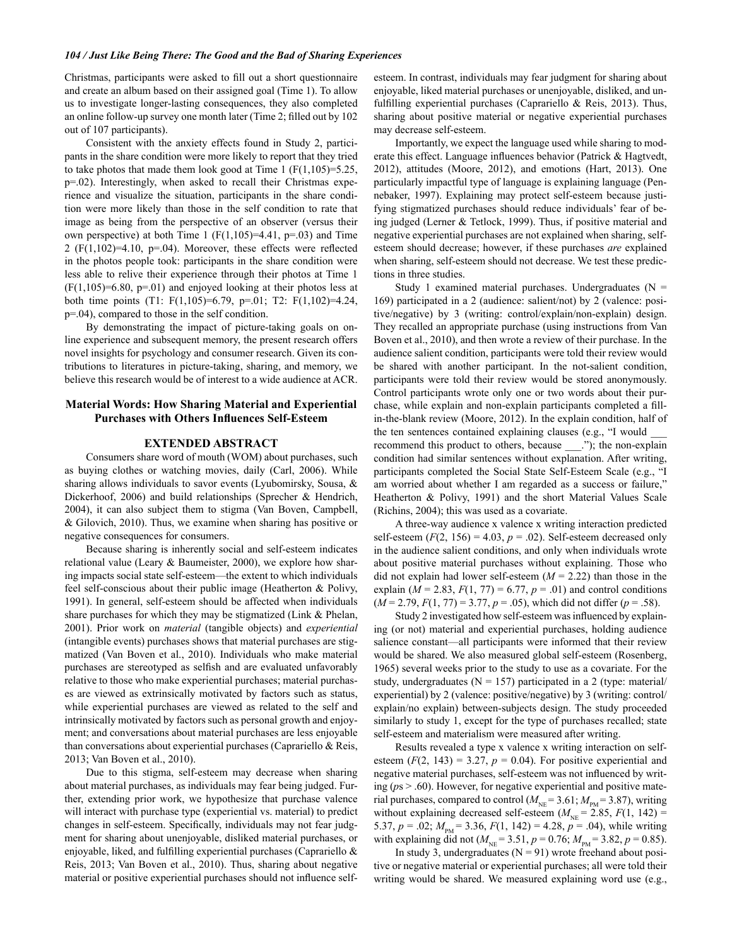#### 104 / Just Like Being There: The Good and the Bad of Sharing Experiences

Christmas, participants were asked to fill out a short questionnaire and create an album based on their assigned goal (Time 1). To allow us to investigate longer-lasting consequences, they also completed an online follow-up survey one month later (Time 2; filled out by 102) out of 107 participants).

Consistent with the anxiety effects found in Study 2, participants in the share condition were more likely to report that they tried to take photos that made them look good at Time 1  $(F(1,105)=5.25)$ , p=.02). Interestingly, when asked to recall their Christmas experience and visualize the situation, participants in the share condition were more likely than those in the self condition to rate that image as being from the perspective of an observer (versus their own perspective) at both Time 1 ( $F(1,105)=4.41$ ,  $p=.03$ ) and Time 2 ( $F(1,102)=4.10$ ,  $p=.04$ ). Moreover, these effects were reflected in the photos people took: participants in the share condition were less able to relive their experience through their photos at Time 1  $(F(1,105)=6.80, p=.01)$  and enjoyed looking at their photos less at both time points (T1: F(1,105)=6.79, p=.01; T2: F(1,102)=4.24,  $p=0.04$ ), compared to those in the self condition.

By demonstrating the impact of picture-taking goals on online experience and subsequent memory, the present research offers novel insights for psychology and consumer research. Given its contributions to literatures in picture-taking, sharing, and memory, we believe this research would be of interest to a wide audience at ACR.

#### **Material Words: How Sharing Material and Experiential Purchases with Others Influences Self-Esteem**

#### **EXTENDED ABSTRACT**

Consumers share word of mouth (WOM) about purchases, such as buying clothes or watching movies, daily (Carl, 2006). While sharing allows individuals to savor events (Lyubomirsky, Sousa,  $\&$ Dickerhoof, 2006) and build relationships (Sprecher & Hendrich, 2004), it can also subject them to stigma (Van Boven, Campbell,  $\&$  Gilovich, 2010). Thus, we examine when sharing has positive or negative consequences for consumers.

Because sharing is inherently social and self-esteem indicates relational value (Leary  $\&$  Baumeister, 2000), we explore how sharing impacts social state self-esteem—the extent to which individuals feel self-conscious about their public image (Heatherton & Polivy, 1991). In general, self-esteem should be affected when individuals share purchases for which they may be stigmatized (Link & Phelan, 2001). Prior work on *material* (tangible objects) and *experiential* (intangible events) purchases shows that material purchases are stigmatized (Van Boven et al., 2010). Individuals who make material purchases are stereotyped as selfish and are evaluated unfavorably relative to those who make experiential purchases; material purchases are viewed as extrinsically motivated by factors such as status, while experiential purchases are viewed as related to the self and intrinsically motivated by factors such as personal growth and enjoyment; and conversations about material purchases are less enjoyable than conversations about experiential purchases (Caprariello & Reis, 2013; Van Boven et al., 2010).

Due to this stigma, self-esteem may decrease when sharing about material purchases, as individuals may fear being judged. Further, extending prior work, we hypothesize that purchase valence will interact with purchase type (experiential vs. material) to predict changes in self-esteem. Specifically, individuals may not fear judgment for sharing about unenjoyable, disliked material purchases, or enjoyable, liked, and fulfilling experiential purchases (Caprariello & Reis, 2013; Van Boven et al., 2010). Thus, sharing about negative material or positive experiential purchases should not influence selfesteem. In contrast, individuals may fear judgment for sharing about enjoyable, liked material purchases or unenjoyable, disliked, and unfulfilling experiential purchases (Caprariello & Reis, 2013). Thus, sharing about positive material or negative experiential purchases may decrease self-esteem.

Importantly, we expect the language used while sharing to moderate this effect. Language influences behavior (Patrick & Hagtvedt, 2012), attitudes (Moore, 2012), and emotions (Hart, 2013). One particularly impactful type of language is explaining language (Pennebaker, 1997). Explaining may protect self-esteem because justifying stigmatized purchases should reduce individuals' fear of being judged (Lerner & Tetlock, 1999). Thus, if positive material and negative experiential purchases are not explained when sharing, selfesteem should decrease; however, if these purchases are explained when sharing, self-esteem should not decrease. We test these predictions in three studies.

Study 1 examined material purchases. Undergraduates  $(N =$ 169) participated in a 2 (audience: salient/not) by 2 (valence: positive/negative) by 3 (writing: control/explain/non-explain) design. They recalled an appropriate purchase (using instructions from Van Boven et al., 2010), and then wrote a review of their purchase. In the audience salient condition, participants were told their review would be shared with another participant. In the not-salient condition, participants were told their review would be stored anonymously. Control participants wrote only one or two words about their purchase, while explain and non-explain participants completed a fillin-the-blank review (Moore, 2012). In the explain condition, half of the ten sentences contained explaining clauses (e.g., "I would recommend this product to others, because \_\_\_."); the non-explain condition had similar sentences without explanation. After writing, participants completed the Social State Self-Esteem Scale (e.g., "I am worried about whether I am regarded as a success or failure," Heatherton & Polivy, 1991) and the short Material Values Scale (Richins, 2004); this was used as a covariate.

A three-way audience x valence x writing interaction predicted self-esteem ( $F(2, 156) = 4.03$ ,  $p = .02$ ). Self-esteem decreased only in the audience salient conditions, and only when individuals wrote about positive material purchases without explaining. Those who did not explain had lower self-esteem  $(M = 2.22)$  than those in the explain ( $M = 2.83$ ,  $F(1, 77) = 6.77$ ,  $p = .01$ ) and control conditions  $(M = 2.79, F(1, 77) = 3.77, p = .05)$ , which did not differ  $(p = .58)$ .

Study 2 investigated how self-esteem was influenced by explaining (or not) material and experiential purchases, holding audience salience constant—all participants were informed that their review would be shared. We also measured global self-esteem (Rosenberg, 1965) several weeks prior to the study to use as a covariate. For the study, undergraduates ( $N = 157$ ) participated in a 2 (type: material/ experiential) by 2 (valence: positive/negative) by 3 (writing: control/ explain/no explain) between-subjects design. The study proceeded similarly to study 1, except for the type of purchases recalled; state self-esteem and materialism were measured after writing.

Results revealed a type x valence x writing interaction on selfesteem  $(F(2, 143) = 3.27, p = 0.04)$ . For positive experiential and negative material purchases, self-esteem was not influenced by writing ( $ps > .60$ ). However, for negative experiential and positive material purchases, compared to control ( $M_{\text{NE}}$  = 3.61;  $M_{\text{PM}}$  = 3.87), writing without explaining decreased self-esteem ( $M_{NE}$  = 2.85,  $F(1, 142)$  = 5.37,  $p = .02$ ;  $M_{\text{PM}} = 3.36$ ,  $F(1, 142) = 4.28$ ,  $p = .04$ ), while writing with explaining did not ( $M_{\text{NE}}$  = 3.51, p = 0.76;  $M_{\text{PM}}$  = 3.82, p = 0.85).

In study 3, undergraduates  $(N = 91)$  wrote freehand about positive or negative material or experiential purchases; all were told their writing would be shared. We measured explaining word use (e.g.,